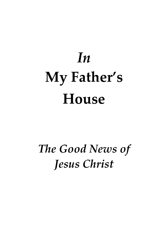# *In* **My Father's House**

## *The Good News of Jesus Christ*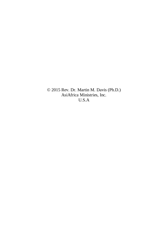© 2015 Rev. Dr. Martin M. Davis (Ph.D.) AsiAfrica Ministries, Inc. U.S.A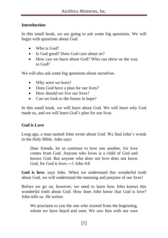#### **Introduction**

In this small book, we are going to ask some big questions. We will begin with questions about God.

- Who is God?
- Is God good? Does God care about us?
- How can we learn about God? Who can show us the way to God?

We will also ask some big questions about ourselves.

- Why were we born?
- Does God have a plan for our lives?
- How should we live our lives?
- Can we look to the future in hope?

In this small book, we will learn about God. We will learn why God made us, and we will learn God's plan for our lives.

#### **God is Love**

Long ago, a man named John wrote about God. We find John's words in the Holy Bible. John says:

Dear friends, let us continue to love one another, for love comes from God. Anyone who loves is a child of God and knows God. But anyone who does not love does not know God, for God is love.―1 John 4:8

**God is love**, says John. When we understand this wonderful truth about God, we will understand the meaning and purpose of our lives!

Before we go on, however, we need to learn how John knows this wonderful truth about God. How does John know that God is love? John tells us. He writes:

We proclaim to you the one who existed from the beginning, whom we have heard and seen. We saw him with our own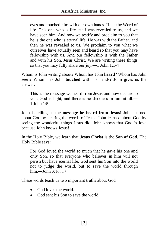eyes and touched him with our own hands. He is the Word of life. This one who is life itself was revealed to us, and we have seen him. And now we testify and proclaim to you that he is the one who is eternal life. He was with the Father, and then he was revealed to us. We proclaim to you what we ourselves have actually seen and heard so that you may have fellowship with us. And our fellowship is with the Father and with his Son, Jesus Christ. We are writing these things so that you may fully share our joy.―1 John 1:1-4

Whom is John writing about? Whom has John **heard**? Whom has John **seen**? Whom has John **touched** with his hands? John gives us the answer:

This is the message we heard from Jesus and now declare to you: God is light, and there is no darkness in him at all.― 1 John 1:5

John is telling us the **message he heard from Jesus!** John learned about God by hearing the words of Jesus. John learned about God by seeing the wonderful things Jesus did. John knows that God is love because John knows Jesus!

In the Holy Bible, we learn that **Jesus Christ** is the **Son of God.** The Holy Bible says:

For God loved the world so much that he gave his one and only Son, so that everyone who believes in him will not perish but have eternal life. God sent his Son into the world not to judge the world, but to save the world through him.―John 3:16, 17

These words teach us two important truths about God:

- God loves the world.
- God sent his Son to save the world.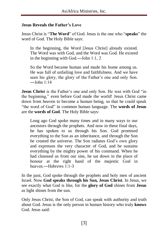#### **Jesus Reveals the Father's Love**

Jesus Christ is "**The Word**" of God. Jesus is the one who "**speaks**" the word of God. The Holy Bible says:

In the beginning, the Word [Jesus Christ] already existed. The Word was with God, and the Word was God. He existed in the beginning with God.―John 1:1, 2

So the Word became human and made his home among us. He was full of unfailing love and faithfulness. And we have seen his glory, the glory of the Father's one and only Son.  $-\text{John } 1:14$ 

**Jesus Christ** is the Father's one and only Son. He was with God "in the beginning," even before God made the world! Jesus Christ came down from heaven to become a human being, so that he could speak "the word of God" in common human language. The **words of Jesus** are the **words of God**. The Holy Bible says:

Long ago God spoke many times and in many ways to our ancestors through the prophets. And now in these final days, he has spoken to us through his Son. God promised everything to the Son as an inheritance, and through the Son he created the universe. The Son radiates God's own glory and expresses the very character of God, and he sustains everything by the mighty power of his command. When he had cleansed us from our sins, he sat down in the place of honour at the right hand of the majestic God in heaven — Hebrews 1:1-3

In the past, God spoke through the prophets and holy men of ancient Israel. Now **God speaks through his Son, Jesus Christ**. In Jesus, we see exactly what God is like, for the **glory of God** shines from **Jesus** as light shines from the sun.

Only Jesus Christ, the Son of God, can speak with authority and truth about God. Jesus is the only person in human history who truly **knows** God. Jesus said: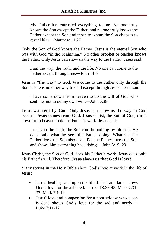My Father has entrusted everything to me. No one truly knows the Son except the Father, and no one truly knows the Father except the Son and those to whom the Son chooses to reveal him  $-M$ atthew  $11:27$ 

Only the Son of God knows the Father. Jesus is the eternal Son who was with God "in the beginning." No other prophet or teacher knows the Father. Only Jesus can show us the way to the Father! Jesus said:

I am the way, the truth, and the life. No one can come to the Father except through me.―John 14:6

Jesus is "**the way**" to God. We come to the Father only through the Son. There is no other way to God except through Jesus. Jesus said:

I have come down from heaven to do the will of God who sent me, not to do my own will.―John 6:38

**Jesus was sent by God**. Only Jesus can show us the way to God because **Jesus comes from God**. Jesus Christ, the Son of God, came down from heaven to do his Father's work. Jesus said:

I tell you the truth, the Son can do nothing by himself. He does only what he sees the Father doing. Whatever the Father does, the Son also does. For the Father loves the Son and shows him everything he is doing.―John 5:19, 20

Jesus Christ, the Son of God, does his Father's work. Jesus does only his Father's will. Therefore, **Jesus shows us that God is love!**

Many stories in the Holy Bible show God's love at work in the life of Jesus:

- Jesus' healing hand upon the blind, deaf and lame shows God's love for the afflicted.―Luke 18:35-43; Mark 7:31- 37; Mark 2:1-12
- Jesus' love and compassion for a poor widow whose son is dead shows God's love for the sad and needy.― Luke 7:11-17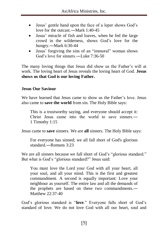- Jesus' gentle hand upon the face of a leper shows God's love for the outcast.―Mark 1:40-45
- Jesus' miracle of fish and loaves, when he fed the large crowd in the wilderness, shows God's love for the hungry.―Mark 6:30-44
- Jesus' forgiving the sins of an "immoral" woman shows God's love for sinners — Luke  $7.36-50$

The many loving things that Jesus did show us the Father's will at work. The loving heart of Jesus reveals the loving heart of God. **Jesus shows us that God is our loving Father.** 

#### **Jesus Our Saviour**

We have learned that Jesus came to show us the Father's love. Jesus also came to **save the world** from sin. The Holy Bible says:

This is a trustworthy saying, and everyone should accept it: Christ Jesus came into the world to save sinners.― 1 Timothy 1:15

Jesus came to **save** sinners. We are **all** sinners. The Holy Bible says:

For everyone has sinned; we all fall short of God's glorious standard — Romans 3:23

We are all sinners because we fall short of God's "glorious standard." But what is God's "glorious standard?" Jesus said:

You must love the Lord your God with all your heart, all your soul, and all your mind. This is the first and greatest commandment. A second is equally important: Love your neighbour as yourself. The entire law and all the demands of the prophets are based on these two commandments.― Matthew 22:37-40

God's glorious standard is "**love**." Everyone falls short of God's standard of love. We do not love God with all our heart, soul and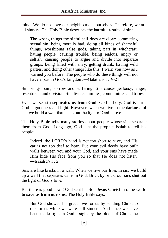mind. We do not love our neighbours as ourselves. Therefore, we are all sinners. The Holy Bible describes the harmful results of **sin**:

The wrong things the sinful self does are clear: committing sexual sin, being morally bad, doing all kinds of shameful things, worshiping false gods, taking part in witchcraft, hating people, causing trouble, being jealous, angry or selfish, causing people to argue and divide into separate groups, being filled with envy, getting drunk, having wild parties, and doing other things like this. I warn you now as I warned you before: The people who do these things will not have a part in God's kingdom.—Galatians 5:19-21

Sin brings pain, sorrow and suffering. Sin causes jealousy, anger, resentment and division. Sin divides families, communities and tribes.

Even worse, **sin separates us from God**. God is holy. God is pure. God is goodness and light. However, when we live in the darkness of sin, we build a wall that shuts out the light of God's love.

The Holy Bible tells many stories about people whose sins separate them from God. Long ago, God sent the prophet Isaiah to tell his people:

Indeed, the LORD's hand is not too short to save, and His ear is not too deaf to hear. But your evil deeds have built walls between you and your God, and your sins have made Him hide His face from you so that He does not listen. ―Isaiah 59:1, 2

Sins are like bricks in a wall. When we live our lives in sin, we build up a wall that separates us from God. Brick by brick, our sins shut out the light of God's love.

But there is good news! God sent his Son **Jesus Christ** into the world **to save us from our sins**. The Holy Bible says:

But God showed his great love for us by sending Christ to die for us while we were still sinners. And since we have been made right in God's sight by the blood of Christ, he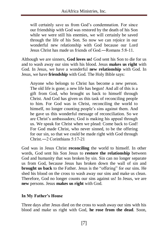will certainly save us from God's condemnation. For since our friendship with God was restored by the death of his Son while we were still his enemies, we will certainly be saved through the life of his Son. So now we can rejoice in our wonderful new relationship with God because our Lord Jesus Christ has made us friends of  $God - Romans 5:8-11$ .

Although we are sinners, **God loves us!** God sent his Son to die for us and to wash away our sins with his blood. Jesus **makes us right** with God. In Jesus, we have a wonderful **new relationship** with God. In Jesus, we have **friendship** with God. The Holy Bible says:

Anyone who belongs to Christ has become a new person. The old life is gone; a new life has begun! And all of this is a gift from God, who brought us back to himself through Christ. And God has given us this task of reconciling people to him. For God was in Christ, reconciling the world to himself, no longer counting people's sins against them. And he gave us this wonderful message of reconciliation. So we are Christ's ambassadors; God is making his appeal through us. We speak for Christ when we plead: Come back to God! For God made Christ, who never sinned, to be the offering for our sin, so that we could be made right with God through Christ.―2 Corinthians 5:17-21

God was in Jesus Christ **reconciling** the world to himself. In other words, God sent his Son Jesus to **restore the relationship** between God and humanity that was broken by sin. Sin can no longer separate us from God, because Jesus has broken down the wall of sin and **brought us back** to the Father. Jesus is the "offering" for our sins. He shed his blood on the cross to wash away our sins and make us clean. Therefore, God no longer counts our sins against us! In Jesus, we are **new** persons. Jesus **makes us right** with God.

#### **In My Father's House**

Three days after Jesus died on the cross to wash away our sins with his blood and make us right with God, **he rose from the dead**. Soon,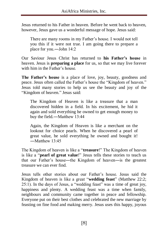Jesus returned to his Father in heaven. Before he went back to heaven, however, Jesus gave us a wonderful message of hope. Jesus said:

There are many rooms in my Father's house. I would not tell you this if it were not true. I am going there to prepare a place for you.―John 14:2

Our Saviour Jesus Christ has returned to **his Father's house** in heaven. Jesus is **preparing a place** for us, so that we may live forever with him in the Father's house.

**The Father's house** is a place of love, joy, beauty, goodness and peace. Jesus often called the Father's house the "Kingdom of heaven." Jesus told many stories to help us see the beauty and joy of the "Kingdom of heaven." Jesus said:

The Kingdom of Heaven is like a treasure that a man discovered hidden in a field. In his excitement, he hid it again and sold everything he owned to get enough money to buy the field.―Matthew 13:44

Again, the Kingdom of Heaven is like a merchant on the lookout for choice pearls. When he discovered a pearl of great value, he sold everything he owned and bought it! ―Matthew 13:45

The Kingdom of heaven is like a "**treasure**!" The Kingdom of heaven is like a "**pearl of great value**!" Jesus tells these stories to teach us that our Father's house―the Kingdom of heaven―is the greatest treasure we can ever find.

Jesus tells other stories about our Father's house. Jesus said the Kingdom of heaven is like a great "**wedding feast**" (Matthew 22:2; 25:1). In the days of Jesus, a "wedding feast" was a time of great joy, happiness and plenty. A wedding feast was a time when family, neighbours and community came together in peace and fellowship. Everyone put on their best clothes and celebrated the new marriage by feasting on fine food and making merry. Jesus uses this happy, joyous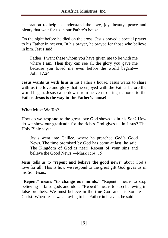celebration to help us understand the love, joy, beauty, peace and plenty that wait for us in our Father's house!

On the night before he died on the cross, Jesus prayed a special prayer to his Father in heaven. In his prayer, he prayed for those who believe in him. Jesus said:

Father, I want these whom you have given me to be with me where I am. Then they can see all the glory you gave me because you loved me even before the world began!― John  $17:24$ 

**Jesus wants us with him** in his Father's house. Jesus wants to share with us the love and glory that he enjoyed with the Father before the world began. Jesus came down from heaven to bring us home to the Father. **Jesus is the way to the Father's house!**

#### **What Must We Do?**

How do we **respond** to the great love God shows us in his Son? How do we show our **gratitude** for the riches God gives us in Jesus? The Holy Bible says:

Jesus went into Galilee, where he preached God's Good News. The time promised by God has come at last! he said. The Kingdom of God is near! Repent of your sins and believe the Good News!―Mark 1:14, 15

Jesus tells us to "**repent and believe the good news**" about God's love for all! This is how we respond to the great gift God gives us in his Son Jesus.

"**Repent**" means "**to change our minds**." "Repent" means to stop believing in false gods and idols. "Repent" means to stop believing in false prophets. We must believe in the true God and his Son Jesus Christ. When Jesus was praying to his Father in heaven, he said: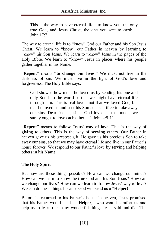This is the way to have eternal life—to know you, the only true God, and Jesus Christ, the one you sent to earth.― John  $17.3$ 

The way to eternal life is to "know" God our Father and his Son Jesus Christ. We learn to "know" our Father in heaven by learning to "know" his Son Jesus. We learn to "know" Jesus in the pages of the Holy Bible. We learn to "know" Jesus in places where his people gather together in his Name.

"**Repent**" means "**to change our lives**." We must not live in the darkness of sin. We must live in the light of God's love and forgiveness. The Holy Bible says:

God showed how much he loved us by sending his one and only Son into the world so that we might have eternal life through him. This is real love—not that we loved God, but that he loved us and sent his Son as a sacrifice to take away our sins. Dear friends, since God loved us that much, we surely ought to love each other.―1 John 4:9-11

"**Repent**" means to **follow Jesus' way of love**. This is the way of **giving** to others. This is the way of **serving** others. Our Father in heaven gave us his greatest gift. He gave us his precious Son to take away our sins, so that we may have eternal life and live in our Father's house forever. We respond to our Father's love by serving and helping others **in his Name**.

#### **The Holy Spirit**

But how are these things possible? How can we change our minds? How can we learn to know the true God and his Son Jesus? How can we change our lives? How can we learn to follow Jesus' way of love? We can do these things because God will send us a "**Helper!**"

Before he returned to his Father's house in heaven, Jesus promised that his Father would send a "**Helper**," who would comfort us and help us to learn the many wonderful things Jesus said and did. The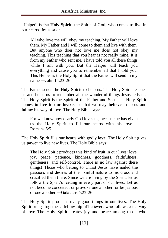"Helper" is the **Holy Spirit**, the Spirit of God, who comes to live in our hearts. Jesus said:

All who love me will obey my teaching. My Father will love them. My Father and I will come to them and live with them. But anyone who does not love me does not obey my teaching. This teaching that you hear is not really mine. It is from my Father who sent me. I have told you all these things while I am with you. But the Helper will teach you everything and cause you to remember all that I told you. This Helper is the Holy Spirit that the Father will send in my name.―John 14:23-26

The Father sends the **Holy Spirit** to help us. The Holy Spirit teaches us and helps us to remember all the wonderful things Jesus tells us. The Holy Spirit is the Spirit of the Father and Son. The Holy Spirit comes **to live in our hearts**, so that we may **believe** in Jesus and **follow** his way of love. The Holy Bible says:

For we know how dearly God loves us, because he has given us the Holy Spirit to fill our hearts with his love.― Romans 5:5

The Holy Spirit fills our hearts with godly **love**. The Holy Spirit gives us **power** to live new lives. The Holy Bible says:

The Holy Spirit produces this kind of fruit in our lives: love, joy, peace, patience, kindness, goodness, faithfulness, gentleness, and self-control. There is no law against these things! Those who belong to Christ Jesus have nailed the passions and desires of their sinful nature to his cross and crucified them there. Since we are living by the Spirit, let us follow the Spirit's leading in every part of our lives. Let us not become conceited, or provoke one another, or be jealous of one another —Galatians  $5:22-26$ 

The Holy Spirit produces many good things in our lives. The Holy Spirit brings together a fellowship of believers who follow Jesus' way of love The Holy Spirit creates joy and peace among those who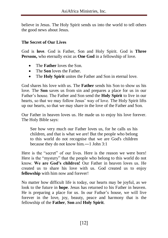believe in Jesus. The Holy Spirit sends us into the world to tell others the good news about Jesus.

#### **The Secret of Our Lives**

God is **love**. God is Father, Son and Holy Spirit. God is **Three Persons,** who eternally exist as **One God** in a fellowship of love.

- The **Father** loves the Son.
- The **Son** loves the Father.
- The **Holy Spirit** unites the Father and Son in eternal love.

God shares his love with us. The **Father** sends his Son to show us his love. The **Son** saves us from sin and prepares a place for us in our Father's house. The Father and Son send the **Holy Spirit** to live in our hearts, so that we may follow Jesus' way of love. The Holy Spirit lifts up our hearts, so that we may share in the love of the Father and Son.

Our Father in heaven loves us. He made us to enjoy his love forever. The Holy Bible says:

See how very much our Father loves us, for he calls us his children, and that is what we are! But the people who belong to this world do not recognise that we are God's children because they do not know him.―1 John 3:1

Here is the "secret" of our lives. Here is the reason we were born! Here is the "mystery" that the people who belong to this world do not know. **We are God's children!** Our Father in heaven loves us. He created us to share his love with us. God created us to enjoy **fellowship** with him now and forever!

No matter how difficult life is today, our hearts may be joyful, as we look to the future in **hope**. Jesus has returned to his Father in heaven. He is preparing a place for us. In our Father's house, we will live forever in the love, joy, beauty, peace and harmony that is the fellowship of the **Father**, **Son** and **Holy Spirit**.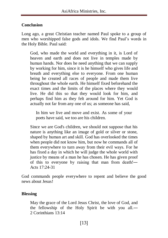#### **Conclusion**

Long ago, a great Christian teacher named Paul spoke to a group of men who worshipped false gods and idols. We find Paul's words in the Holy Bible. Paul said:

God, who made the world and everything in it, is Lord of heaven and earth and does not live in temples made by human hands. Nor does he need anything that we can supply by working for him, since it is he himself who gives life and breath and everything else to everyone. From one human being he created all races of people and made them live throughout the whole earth. He himself fixed beforehand the exact times and the limits of the places where they would live. He did this so that they would look for him, and perhaps find him as they felt around for him. Yet God is actually not far from any one of us; as someone has said,

In him we live and move and exist. As some of your poets have said, we too are his children.

Since we are God's children, we should not suppose that his nature is anything like an image of gold or silver or stone, shaped by human art and skill. God has overlooked the times when people did not know him, but now he commands all of them everywhere to turn away from their evil ways. For he has fixed a day in which he will judge the whole world with justice by means of a man he has chosen. He has given proof of this to everyone by raising that man from death!― Acts 17:24-31

God commands people everywhere to repent and believe the good news about Jesus!

#### **Blessing**

May the grace of the Lord Jesus Christ, the love of God, and the fellowship of the Holy Spirit be with you all.― 2 Corinthians 13:14